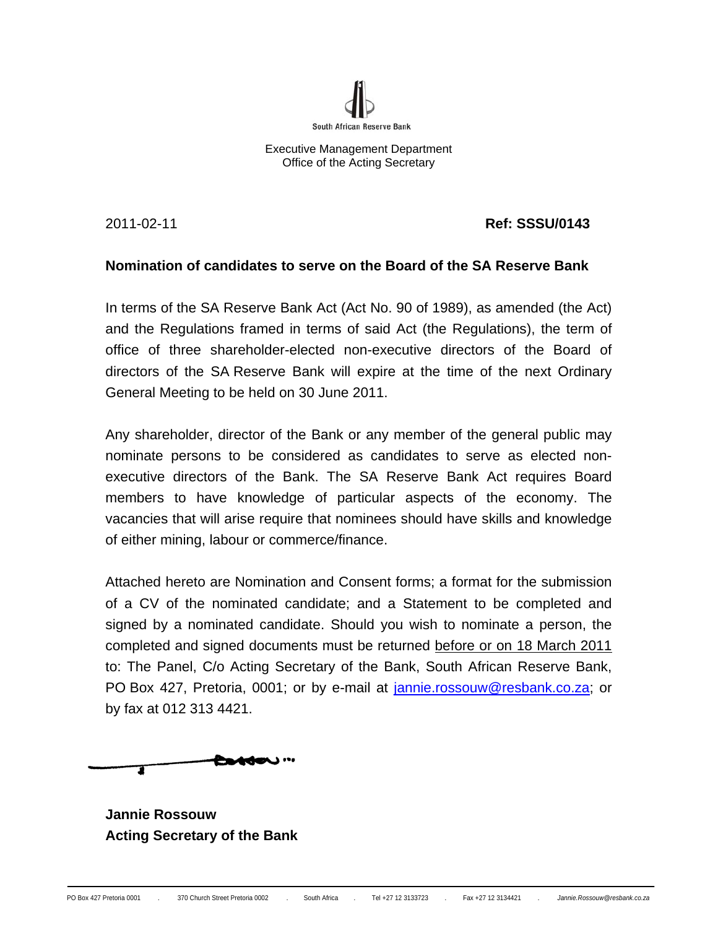

Executive Management Department Office of the Acting Secretary

2011-02-11 **Ref: SSSU/0143** 

# **Nomination of candidates to serve on the Board of the SA Reserve Bank**

In terms of the SA Reserve Bank Act (Act No. 90 of 1989), as amended (the Act) and the Regulations framed in terms of said Act (the Regulations), the term of office of three shareholder-elected non-executive directors of the Board of directors of the SA Reserve Bank will expire at the time of the next Ordinary General Meeting to be held on 30 June 2011.

Any shareholder, director of the Bank or any member of the general public may nominate persons to be considered as candidates to serve as elected nonexecutive directors of the Bank. The SA Reserve Bank Act requires Board members to have knowledge of particular aspects of the economy. The vacancies that will arise require that nominees should have skills and knowledge of either mining, labour or commerce/finance.

Attached hereto are Nomination and Consent forms; a format for the submission of a CV of the nominated candidate; and a Statement to be completed and signed by a nominated candidate. Should you wish to nominate a person, the completed and signed documents must be returned before or on 18 March 2011 to: The Panel, C/o Acting Secretary of the Bank, South African Reserve Bank, PO Box 427, Pretoria, 0001; or by e-mail at jannie.rossouw@resbank.co.za; or by fax at 012 313 4421.

**Detden** … 1

**Jannie Rossouw Acting Secretary of the Bank**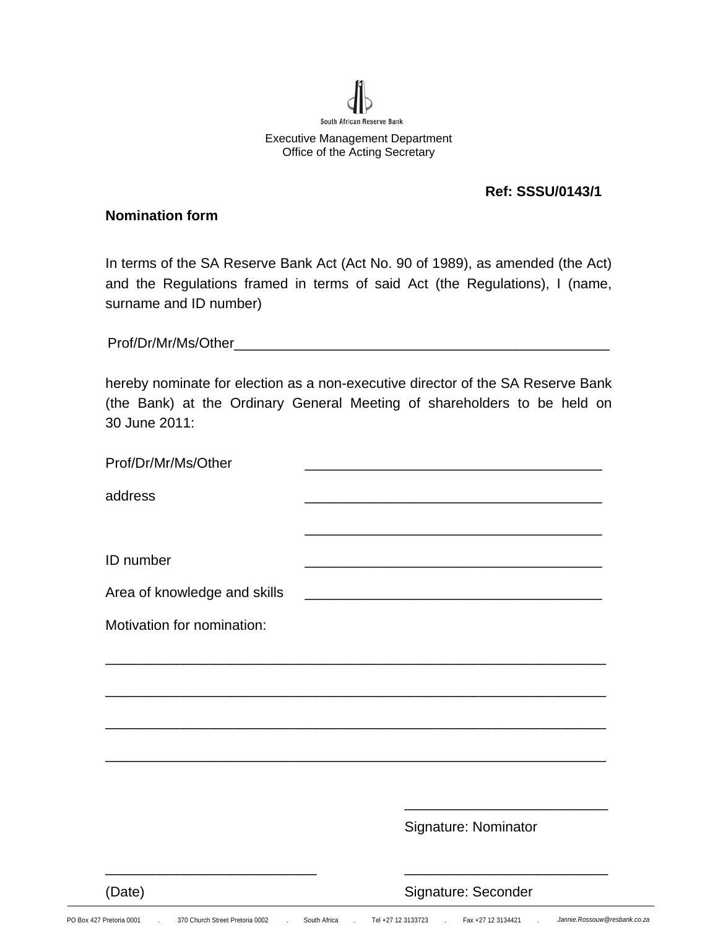

### **Ref: SSSU/0143/1**

#### **Nomination form**

In terms of the SA Reserve Bank Act (Act No. 90 of 1989), as amended (the Act) and the Regulations framed in terms of said Act (the Regulations), I (name, surname and ID number)

Prof/Dr/Mr/Ms/Other\_\_\_\_\_\_\_\_\_\_\_\_\_\_\_\_\_\_\_\_\_\_\_\_\_\_\_\_\_\_\_\_\_\_\_\_\_\_\_\_\_\_\_\_\_\_\_\_

hereby nominate for election as a non-executive director of the SA Reserve Bank (the Bank) at the Ordinary General Meeting of shareholders to be held on 30 June 2011:

| Prof/Dr/Mr/Ms/Other          |                                                                                                                       |
|------------------------------|-----------------------------------------------------------------------------------------------------------------------|
| address                      |                                                                                                                       |
|                              |                                                                                                                       |
| ID number                    |                                                                                                                       |
| Area of knowledge and skills | <u> 1989 - Johann Barn, mars ann an t-Amhain an t-Amhain an t-Amhain an t-Amhain an t-Amhain an t-Amhain an t-Amh</u> |
| Motivation for nomination:   |                                                                                                                       |
|                              |                                                                                                                       |
|                              |                                                                                                                       |
|                              |                                                                                                                       |
|                              |                                                                                                                       |
|                              |                                                                                                                       |
|                              | Signature: Nominator                                                                                                  |
| (Date)                       | Signature: Seconder                                                                                                   |

PO Box 427 Pretoria 0001 . 370 Church Street Pretoria 0002 . South Africa . Tel +27 12 3133723 . Fax +27 12 3134421 . *Jannie.Rossouw@resbank.co.za*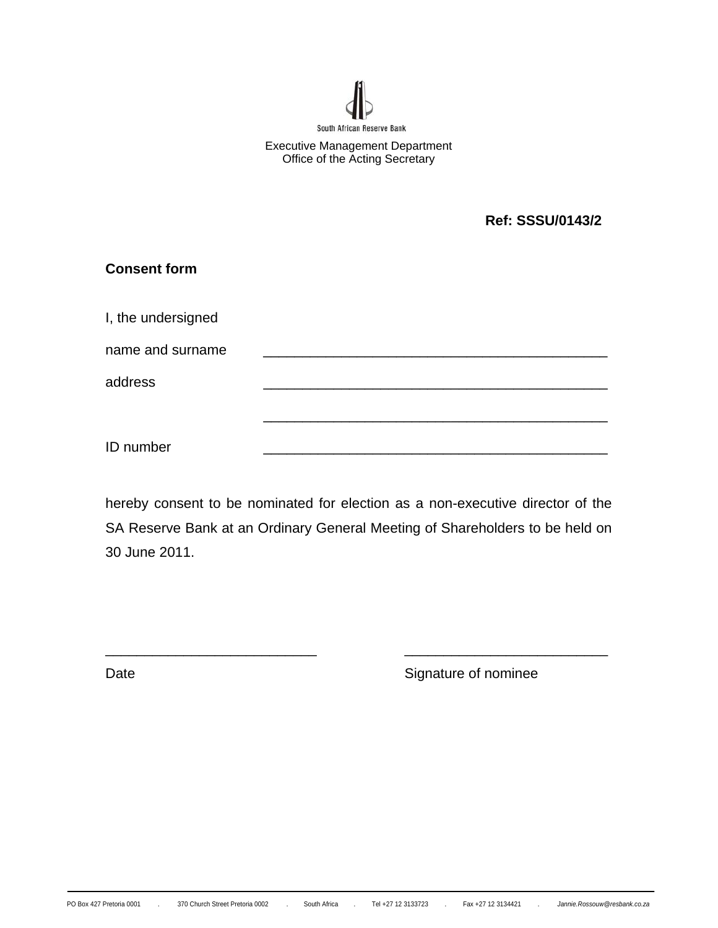

**Ref: SSSU/0143/2** 

| <b>Consent form</b> |  |  |
|---------------------|--|--|
| I, the undersigned  |  |  |
| name and surname    |  |  |
| address             |  |  |
|                     |  |  |
| ID number           |  |  |

hereby consent to be nominated for election as a non-executive director of the SA Reserve Bank at an Ordinary General Meeting of Shareholders to be held on 30 June 2011.

\_\_\_\_\_\_\_\_\_\_\_\_\_\_\_\_\_\_\_\_\_\_\_\_\_\_\_ \_\_\_\_\_\_\_\_\_\_\_\_\_\_\_\_\_\_\_\_\_\_\_\_\_\_

Date **Signature of nominee**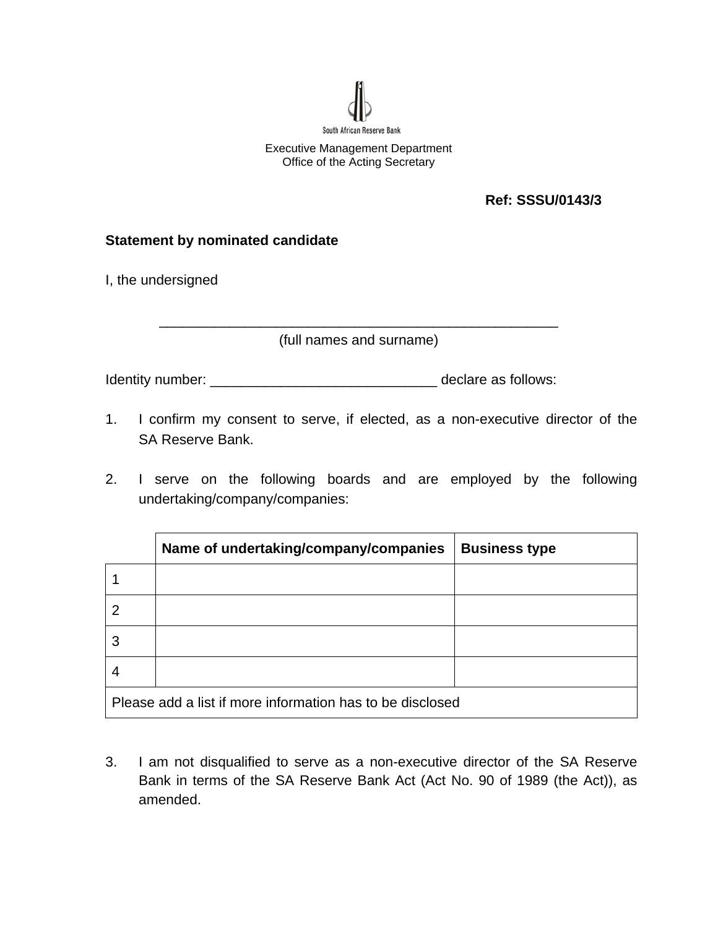

# **Ref: SSSU/0143/3**

# **Statement by nominated candidate**

I, the undersigned

\_\_\_\_\_\_\_\_\_\_\_\_\_\_\_\_\_\_\_\_\_\_\_\_\_\_\_\_\_\_\_\_\_\_\_\_\_\_\_\_\_\_\_\_\_\_\_\_\_\_\_ (full names and surname)

Identity number: \_\_\_\_\_\_\_\_\_\_\_\_\_\_\_\_\_\_\_\_\_\_\_\_\_\_\_\_\_ declare as follows:

- 1. I confirm my consent to serve, if elected, as a non-executive director of the SA Reserve Bank.
- 2. I serve on the following boards and are employed by the following undertaking/company/companies:

|                                                           | Name of undertaking/company/companies | <b>Business type</b> |
|-----------------------------------------------------------|---------------------------------------|----------------------|
|                                                           |                                       |                      |
|                                                           |                                       |                      |
|                                                           |                                       |                      |
|                                                           |                                       |                      |
| Please add a list if more information has to be disclosed |                                       |                      |

3. I am not disqualified to serve as a non-executive director of the SA Reserve Bank in terms of the SA Reserve Bank Act (Act No. 90 of 1989 (the Act)), as amended.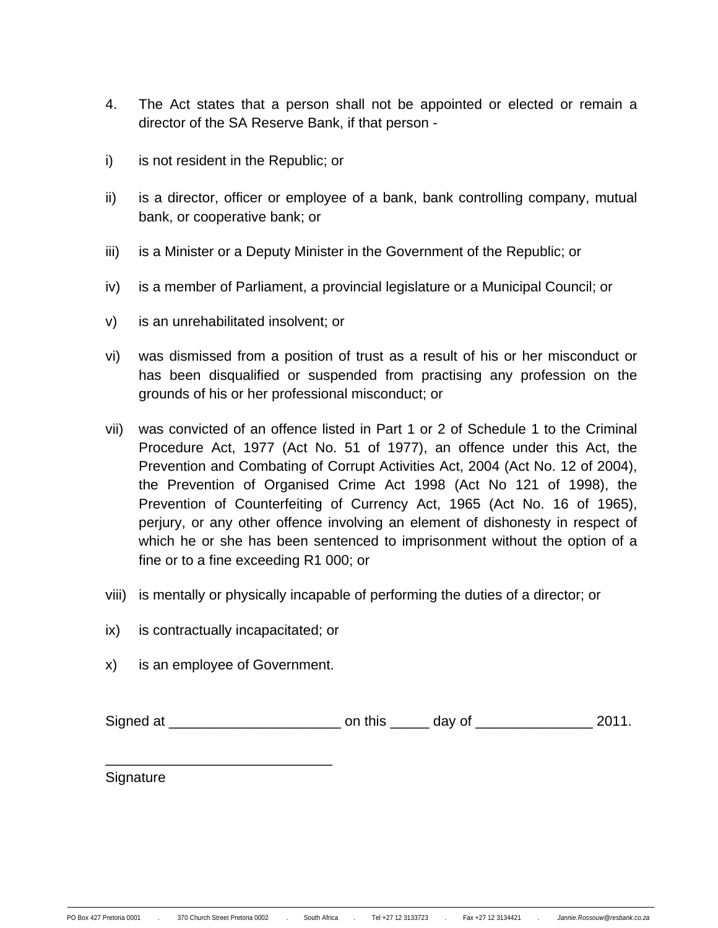- 4. The Act states that a person shall not be appointed or elected or remain a director of the SA Reserve Bank, if that person -
- i) is not resident in the Republic; or
- ii) is a director, officer or employee of a bank, bank controlling company, mutual bank, or cooperative bank; or
- iii) is a Minister or a Deputy Minister in the Government of the Republic; or
- iv) is a member of Parliament, a provincial legislature or a Municipal Council; or
- v) is an unrehabilitated insolvent; or
- vi) was dismissed from a position of trust as a result of his or her misconduct or has been disqualified or suspended from practising any profession on the grounds of his or her professional misconduct; or
- vii) was convicted of an offence listed in Part 1 or 2 of Schedule 1 to the Criminal Procedure Act, 1977 (Act No. 51 of 1977), an offence under this Act, the Prevention and Combating of Corrupt Activities Act, 2004 (Act No. 12 of 2004), the Prevention of Organised Crime Act 1998 (Act No 121 of 1998), the Prevention of Counterfeiting of Currency Act, 1965 (Act No. 16 of 1965), perjury, or any other offence involving an element of dishonesty in respect of which he or she has been sentenced to imprisonment without the option of a fine or to a fine exceeding R1 000; or
- viii) is mentally or physically incapable of performing the duties of a director; or
- ix) is contractually incapacitated; or
- x) is an employee of Government.

\_\_\_\_\_\_\_\_\_\_\_\_\_\_\_\_\_\_\_\_\_\_\_\_\_\_\_\_\_

Signed at \_\_\_\_\_\_\_\_\_\_\_\_\_\_\_\_\_\_\_\_\_\_ on this \_\_\_\_\_ day of \_\_\_\_\_\_\_\_\_\_\_\_\_\_\_ 2011.

Signature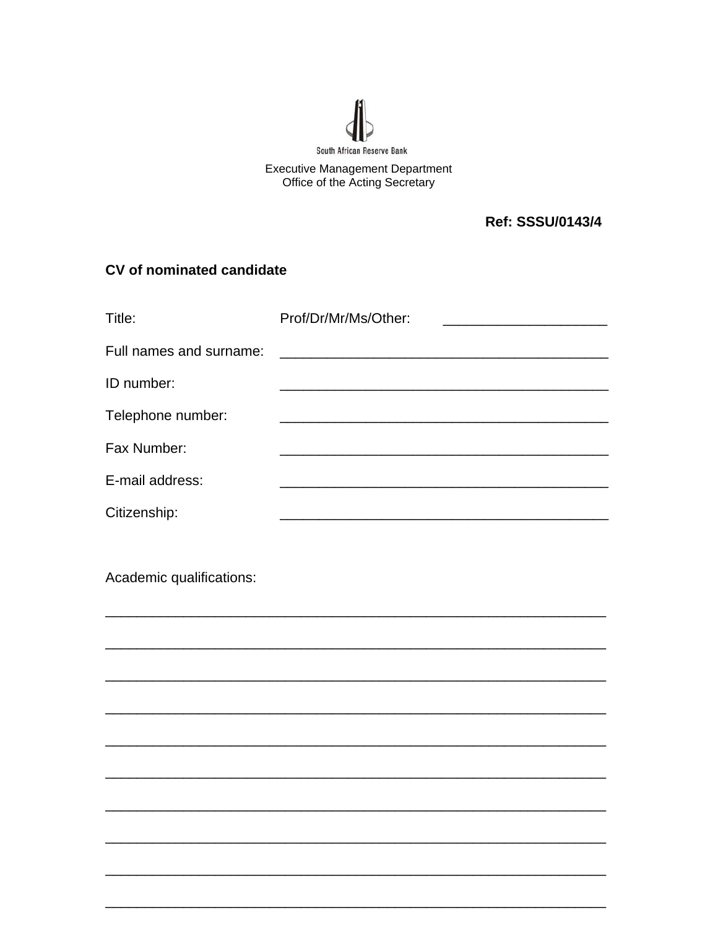

# Executive Management Department<br>Office of the Acting Secretary

**Ref: SSSU/0143/4** 

# CV of nominated candidate

| Title:                   | Prof/Dr/Mr/Ms/Other: |
|--------------------------|----------------------|
| Full names and surname:  |                      |
| ID number:               |                      |
| Telephone number:        |                      |
| Fax Number:              |                      |
| E-mail address:          |                      |
| Citizenship:             |                      |
|                          |                      |
| Academic qualifications: |                      |
|                          |                      |
|                          |                      |
|                          |                      |
|                          |                      |
|                          |                      |
|                          |                      |
|                          |                      |
|                          |                      |
|                          |                      |
|                          |                      |